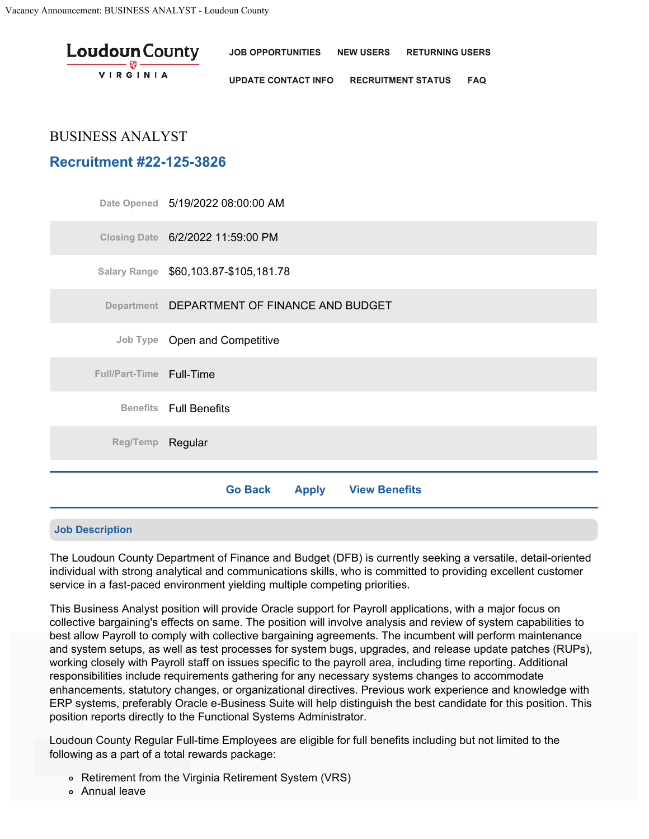| <b>Loudoun</b> County<br>$\frac{1}{\sqrt{2\pi}}\frac{1}{\sqrt{2\pi}}\frac{1}{\sqrt{2\pi}}\frac{1}{\sqrt{2\pi}}\frac{1}{\sqrt{2\pi}}\frac{1}{\sqrt{2\pi}}\frac{1}{\sqrt{2\pi}}\frac{1}{\sqrt{2\pi}}\frac{1}{\sqrt{2\pi}}\frac{1}{\sqrt{2\pi}}\frac{1}{\sqrt{2\pi}}\frac{1}{\sqrt{2\pi}}\frac{1}{\sqrt{2\pi}}\frac{1}{\sqrt{2\pi}}\frac{1}{\sqrt{2\pi}}\frac{1}{\sqrt{2\pi}}\frac{1}{\sqrt{2\pi}}\frac{1}{\sqrt{2\pi}}\frac{1$ | JOB OPPORTUNITIES NEW USERS                | <b>RETURNING USERS</b> |  |
|------------------------------------------------------------------------------------------------------------------------------------------------------------------------------------------------------------------------------------------------------------------------------------------------------------------------------------------------------------------------------------------------------------------------------|--------------------------------------------|------------------------|--|
| <b>VIRGINIA</b>                                                                                                                                                                                                                                                                                                                                                                                                              | UPDATE CONTACT INFO RECRUITMENT STATUS FAQ |                        |  |

# BUSINESS ANALYST

# **Recruitment #22-125-3826**

|                          | Date Opened 5/19/2022 08:00:00 AM            |  |  |  |  |
|--------------------------|----------------------------------------------|--|--|--|--|
|                          | Closing Date 6/2/2022 11:59:00 PM            |  |  |  |  |
|                          | Salary Range \$60,103.87-\$105,181.78        |  |  |  |  |
|                          | Department DEPARTMENT OF FINANCE AND BUDGET  |  |  |  |  |
|                          | Job Type Open and Competitive                |  |  |  |  |
| Full/Part-Time Full-Time |                                              |  |  |  |  |
|                          | <b>Benefits</b> Full Benefits                |  |  |  |  |
| Reg/Temp Regular         |                                              |  |  |  |  |
|                          | <b>Go Back</b><br><b>Apply View Benefits</b> |  |  |  |  |

## **Job Description**

The Loudoun County Department of Finance and Budget (DFB) is currently seeking a versatile, detail-oriented individual with strong analytical and communications skills, who is committed to providing excellent customer service in a fast-paced environment yielding multiple competing priorities.

This Business Analyst position will provide Oracle support for Payroll applications, with a major focus on collective bargaining's effects on same. The position will involve analysis and review of system capabilities to best allow Payroll to comply with collective bargaining agreements. The incumbent will perform maintenance and system setups, as well as test processes for system bugs, upgrades, and release update patches (RUPs), working closely with Payroll staff on issues specific to the payroll area, including time reporting. Additional responsibilities include requirements gathering for any necessary systems changes to accommodate enhancements, statutory changes, or organizational directives. Previous work experience and knowledge with ERP systems, preferably Oracle e-Business Suite will help distinguish the best candidate for this position. This position reports directly to the Functional Systems Administrator.

Loudoun County Regular Full-time Employees are eligible for full benefits including but not limited to the following as a part of a total rewards package:<br>``

- Retirement from the Virginia Retirement System (VRS)
- Annual leave